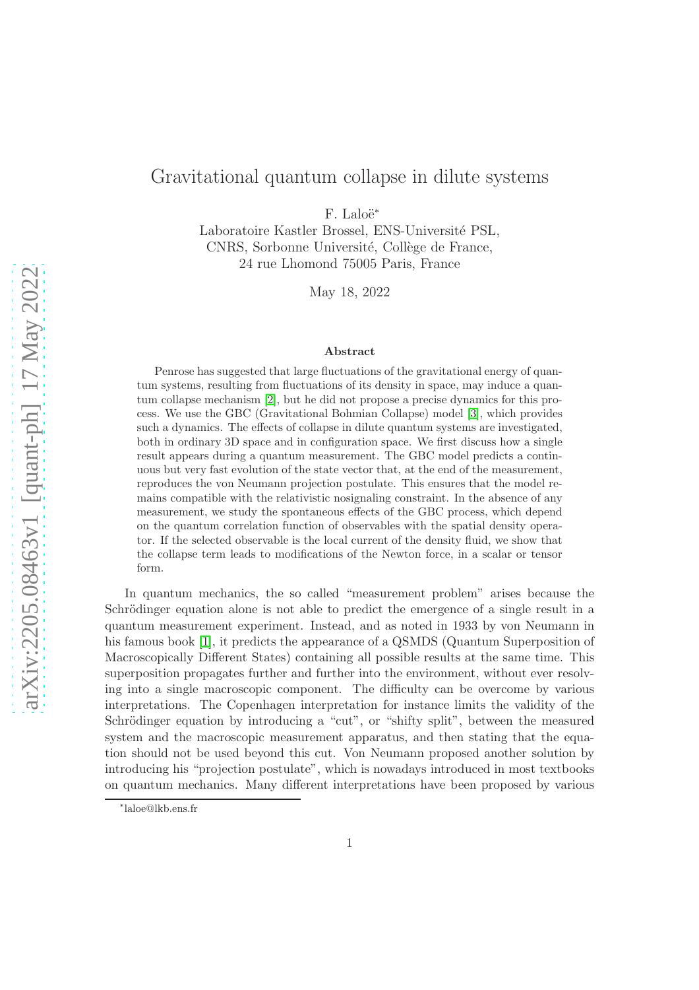# Gravitational quantum collapse in dilute systems

F. Laloë<sup>∗</sup>

Laboratoire Kastler Brossel, ENS-Université PSL, CNRS, Sorbonne Université, Collège de France, 24 rue Lhomond 75005 Paris, France

May 18, 2022

#### Abstract

Penrose has suggested that large fluctuations of the gravitational energy of quantum systems, resulting from fluctuations of its density in space, may induce a quantum collapse mechanism [\[2\]](#page-15-0), but he did not propose a precise dynamics for this process. We use the GBC (Gravitational Bohmian Collapse) model [\[3\]](#page-15-1), which provides such a dynamics. The effects of collapse in dilute quantum systems are investigated, both in ordinary 3D space and in configuration space. We first discuss how a single result appears during a quantum measurement. The GBC model predicts a continuous but very fast evolution of the state vector that, at the end of the measurement, reproduces the von Neumann projection postulate. This ensures that the model remains compatible with the relativistic nosignaling constraint. In the absence of any measurement, we study the spontaneous effects of the GBC process, which depend on the quantum correlation function of observables with the spatial density operator. If the selected observable is the local current of the density fluid, we show that the collapse term leads to modifications of the Newton force, in a scalar or tensor form.

In quantum mechanics, the so called "measurement problem" arises because the Schrödinger equation alone is not able to predict the emergence of a single result in a quantum measurement experiment. Instead, and as noted in 1933 by von Neumann in his famous book [\[1\]](#page-15-2), it predicts the appearance of a QSMDS (Quantum Superposition of Macroscopically Different States) containing all possible results at the same time. This superposition propagates further and further into the environment, without ever resolving into a single macroscopic component. The difficulty can be overcome by various interpretations. The Copenhagen interpretation for instance limits the validity of the Schrödinger equation by introducing a "cut", or "shifty split", between the measured system and the macroscopic measurement apparatus, and then stating that the equation should not be used beyond this cut. Von Neumann proposed another solution by introducing his "projection postulate", which is nowadays introduced in most textbooks on quantum mechanics. Many different interpretations have been proposed by various

<sup>∗</sup> laloe@lkb.ens.fr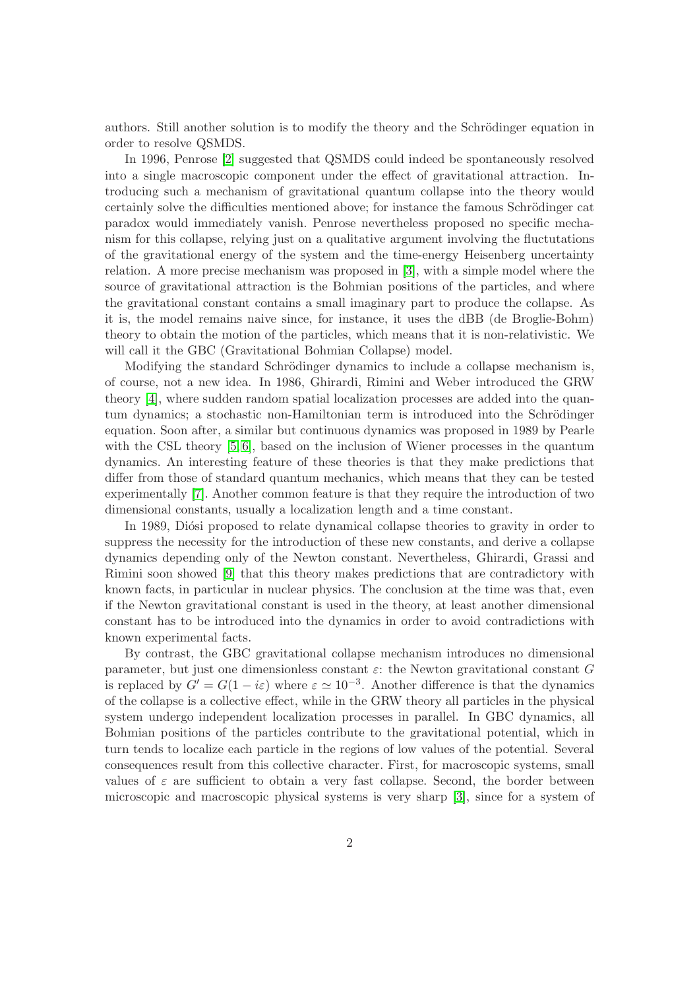authors. Still another solution is to modify the theory and the Schrödinger equation in order to resolve QSMDS.

In 1996, Penrose [\[2\]](#page-15-0) suggested that QSMDS could indeed be spontaneously resolved into a single macroscopic component under the effect of gravitational attraction. Introducing such a mechanism of gravitational quantum collapse into the theory would certainly solve the difficulties mentioned above; for instance the famous Schrödinger cat paradox would immediately vanish. Penrose nevertheless proposed no specific mechanism for this collapse, relying just on a qualitative argument involving the fluctutations of the gravitational energy of the system and the time-energy Heisenberg uncertainty relation. A more precise mechanism was proposed in [\[3\]](#page-15-1), with a simple model where the source of gravitational attraction is the Bohmian positions of the particles, and where the gravitational constant contains a small imaginary part to produce the collapse. As it is, the model remains naive since, for instance, it uses the dBB (de Broglie-Bohm) theory to obtain the motion of the particles, which means that it is non-relativistic. We will call it the GBC (Gravitational Bohmian Collapse) model.

Modifying the standard Schrödinger dynamics to include a collapse mechanism is, of course, not a new idea. In 1986, Ghirardi, Rimini and Weber introduced the GRW theory [\[4\]](#page-15-3), where sudden random spatial localization processes are added into the quantum dynamics; a stochastic non-Hamiltonian term is introduced into the Schrödinger equation. Soon after, a similar but continuous dynamics was proposed in 1989 by Pearle with the CSL theory [\[5,](#page-15-4)6], based on the inclusion of Wiener processes in the quantum dynamics. An interesting feature of these theories is that they make predictions that differ from those of standard quantum mechanics, which means that they can be tested experimentally [\[7\]](#page-16-1). Another common feature is that they require the introduction of two dimensional constants, usually a localization length and a time constant.

In 1989, Diósi proposed to relate dynamical collapse theories to gravity in order to suppress the necessity for the introduction of these new constants, and derive a collapse dynamics depending only of the Newton constant. Nevertheless, Ghirardi, Grassi and Rimini soon showed [\[9\]](#page-16-2) that this theory makes predictions that are contradictory with known facts, in particular in nuclear physics. The conclusion at the time was that, even if the Newton gravitational constant is used in the theory, at least another dimensional constant has to be introduced into the dynamics in order to avoid contradictions with known experimental facts.

By contrast, the GBC gravitational collapse mechanism introduces no dimensional parameter, but just one dimensionless constant  $\varepsilon$ : the Newton gravitational constant G is replaced by  $G' = G(1 - i\varepsilon)$  where  $\varepsilon \simeq 10^{-3}$ . Another difference is that the dynamics of the collapse is a collective effect, while in the GRW theory all particles in the physical system undergo independent localization processes in parallel. In GBC dynamics, all Bohmian positions of the particles contribute to the gravitational potential, which in turn tends to localize each particle in the regions of low values of the potential. Several consequences result from this collective character. First, for macroscopic systems, small values of  $\varepsilon$  are sufficient to obtain a very fast collapse. Second, the border between microscopic and macroscopic physical systems is very sharp [\[3\]](#page-15-1), since for a system of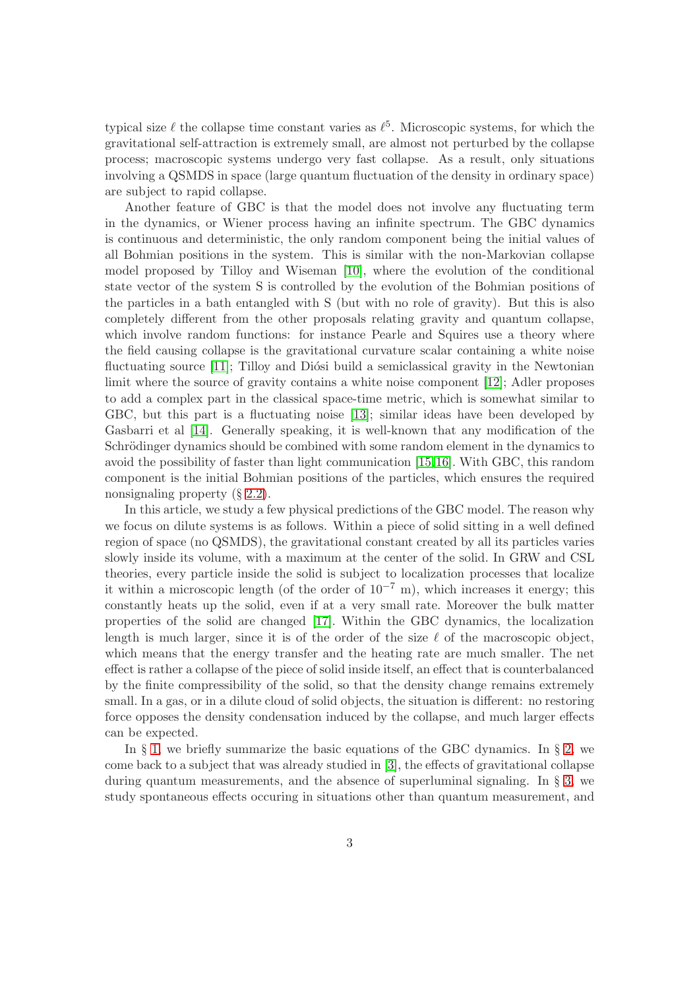typical size  $\ell$  the collapse time constant varies as  $\ell^5$ . Microscopic systems, for which the gravitational self-attraction is extremely small, are almost not perturbed by the collapse process; macroscopic systems undergo very fast collapse. As a result, only situations involving a QSMDS in space (large quantum fluctuation of the density in ordinary space) are subject to rapid collapse.

Another feature of GBC is that the model does not involve any fluctuating term in the dynamics, or Wiener process having an infinite spectrum. The GBC dynamics is continuous and deterministic, the only random component being the initial values of all Bohmian positions in the system. This is similar with the non-Markovian collapse model proposed by Tilloy and Wiseman [\[10\]](#page-16-3), where the evolution of the conditional state vector of the system S is controlled by the evolution of the Bohmian positions of the particles in a bath entangled with S (but with no role of gravity). But this is also completely different from the other proposals relating gravity and quantum collapse, which involve random functions: for instance Pearle and Squires use a theory where the field causing collapse is the gravitational curvature scalar containing a white noise fluctuating source [\[11\]](#page-16-4); Tilloy and Diósi build a semiclassical gravity in the Newtonian limit where the source of gravity contains a white noise component [\[12\]](#page-16-5); Adler proposes to add a complex part in the classical space-time metric, which is somewhat similar to GBC, but this part is a fluctuating noise [\[13\]](#page-16-6); similar ideas have been developed by Gasbarri et al [\[14\]](#page-16-7). Generally speaking, it is well-known that any modification of the Schrödinger dynamics should be combined with some random element in the dynamics to avoid the possibility of faster than light communication [\[15,](#page-16-8)[16\]](#page-16-9). With GBC, this random component is the initial Bohmian positions of the particles, which ensures the required nonsignaling property (§ [2.2\)](#page-5-0).

In this article, we study a few physical predictions of the GBC model. The reason why we focus on dilute systems is as follows. Within a piece of solid sitting in a well defined region of space (no QSMDS), the gravitational constant created by all its particles varies slowly inside its volume, with a maximum at the center of the solid. In GRW and CSL theories, every particle inside the solid is subject to localization processes that localize it within a microscopic length (of the order of  $10^{-7}$  m), which increases it energy; this constantly heats up the solid, even if at a very small rate. Moreover the bulk matter properties of the solid are changed [\[17\]](#page-16-10). Within the GBC dynamics, the localization length is much larger, since it is of the order of the size  $\ell$  of the macroscopic object, which means that the energy transfer and the heating rate are much smaller. The net effect is rather a collapse of the piece of solid inside itself, an effect that is counterbalanced by the finite compressibility of the solid, so that the density change remains extremely small. In a gas, or in a dilute cloud of solid objects, the situation is different: no restoring force opposes the density condensation induced by the collapse, and much larger effects can be expected.

In  $\S$  [1,](#page-3-0) we briefly summarize the basic equations of the GBC dynamics. In  $\S$  [2,](#page-4-0) we come back to a subject that was already studied in [\[3\]](#page-15-1), the effects of gravitational collapse during quantum measurements, and the absence of superluminal signaling. In § [3,](#page-7-0) we study spontaneous effects occuring in situations other than quantum measurement, and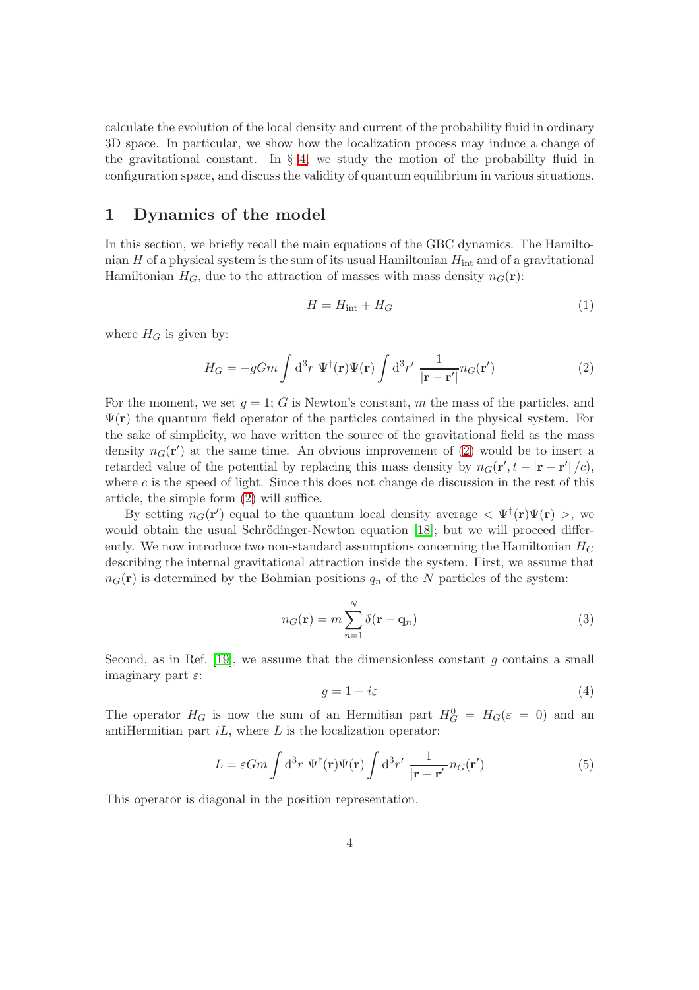calculate the evolution of the local density and current of the probability fluid in ordinary 3D space. In particular, we show how the localization process may induce a change of the gravitational constant. In  $\S$  [4,](#page-11-0) we study the motion of the probability fluid in configuration space, and discuss the validity of quantum equilibrium in various situations.

### <span id="page-3-0"></span>1 Dynamics of the model

In this section, we briefly recall the main equations of the GBC dynamics. The Hamiltonian H of a physical system is the sum of its usual Hamiltonian  $H_{int}$  and of a gravitational Hamiltonian  $H_G$ , due to the attraction of masses with mass density  $n_G(\mathbf{r})$ :

$$
H = H_{\text{int}} + H_G \tag{1}
$$

where  $H_G$  is given by:

<span id="page-3-1"></span>
$$
H_G = -gGm \int d^3r \ \Psi^{\dagger}(\mathbf{r}) \Psi(\mathbf{r}) \int d^3r' \ \frac{1}{|\mathbf{r} - \mathbf{r}'|} n_G(\mathbf{r}')
$$
 (2)

For the moment, we set  $g = 1$ ; G is Newton's constant, m the mass of the particles, and  $\Psi(\mathbf{r})$  the quantum field operator of the particles contained in the physical system. For the sake of simplicity, we have written the source of the gravitational field as the mass density  $n_G(\mathbf{r}')$  at the same time. An obvious improvement of [\(2\)](#page-3-1) would be to insert a retarded value of the potential by replacing this mass density by  $n_G(\mathbf{r}', t - |\mathbf{r} - \mathbf{r}'|/c)$ , where  $c$  is the speed of light. Since this does not change de discussion in the rest of this article, the simple form [\(2\)](#page-3-1) will suffice.

By setting  $n_G(\mathbf{r}')$  equal to the quantum local density average  $\langle \Psi^{\dagger}(\mathbf{r}) \Psi(\mathbf{r}) \rangle$ , we would obtain the usual Schrödinger-Newton equation  $[18]$ ; but we will proceed differently. We now introduce two non-standard assumptions concerning the Hamiltonian  $H_G$ describing the internal gravitational attraction inside the system. First, we assume that  $n_G(\mathbf{r})$  is determined by the Bohmian positions  $q_n$  of the N particles of the system:

$$
n_G(\mathbf{r}) = m \sum_{n=1}^{N} \delta(\mathbf{r} - \mathbf{q}_n)
$$
\n(3)

Second, as in Ref.  $[19]$ , we assume that the dimensionless constant g contains a small imaginary part  $\varepsilon$ :

$$
g = 1 - i\varepsilon \tag{4}
$$

The operator  $H_G$  is now the sum of an Hermitian part  $H_G^0 = H_G(\varepsilon = 0)$  and an antiHermitian part  $iL$ , where  $L$  is the localization operator:

<span id="page-3-2"></span>
$$
L = \varepsilon Gm \int d^3 r \, \Psi^{\dagger}(\mathbf{r}) \Psi(\mathbf{r}) \int d^3 r' \, \frac{1}{|\mathbf{r} - \mathbf{r}'|} n_G(\mathbf{r}')
$$
 (5)

This operator is diagonal in the position representation.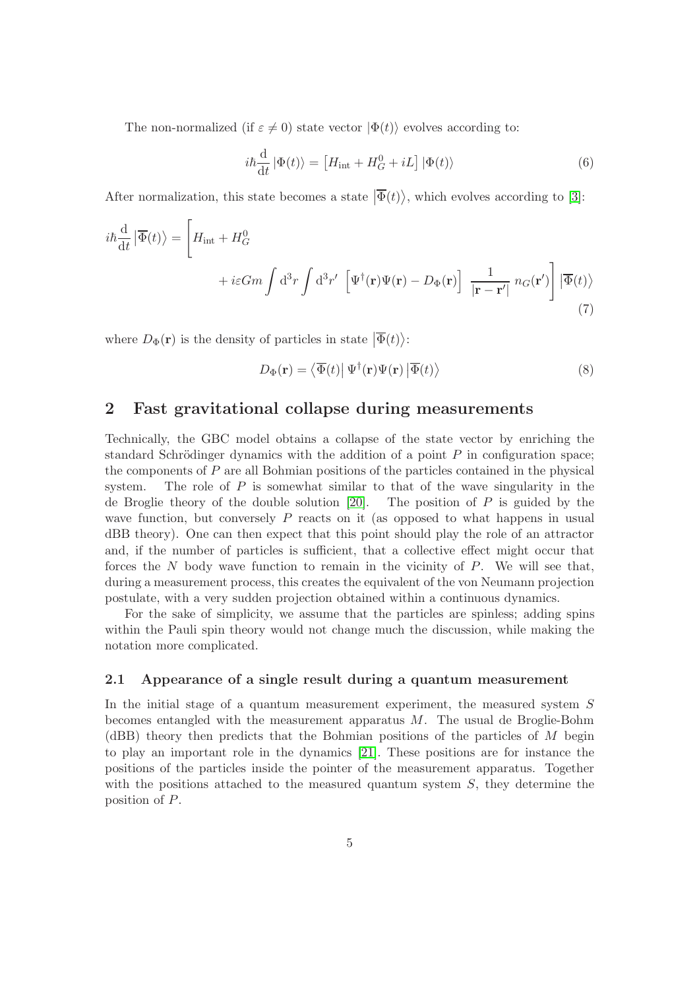The non-normalized (if  $\varepsilon \neq 0$ ) state vector  $|\Phi(t)\rangle$  evolves according to:

$$
i\hbar \frac{\mathrm{d}}{\mathrm{d}t} |\Phi(t)\rangle = \left[ H_{\text{int}} + H_G^0 + iL \right] |\Phi(t)\rangle \tag{6}
$$

After normalization, this state becomes a state  $|\overline{\Phi}(t)\rangle$ , which evolves according to [\[3\]](#page-15-1):

$$
i\hbar \frac{d}{dt} |\overline{\Phi}(t)\rangle = \left[ H_{int} + H_G^0 + i\varepsilon Gm \int d^3r \int d^3r' \left[ \Psi^{\dagger}(\mathbf{r}) \Psi(\mathbf{r}) - D_{\Phi}(\mathbf{r}) \right] \frac{1}{|\mathbf{r} - \mathbf{r}'|} n_G(\mathbf{r}') \right] |\overline{\Phi}(t)\rangle
$$
\n(7)

where  $D_{\Phi}(\mathbf{r})$  is the density of particles in state  $|\overline{\Phi}(t)\rangle$ :

<span id="page-4-2"></span>
$$
D_{\Phi}(\mathbf{r}) = \langle \overline{\Phi}(t) | \Psi^{\dagger}(\mathbf{r}) \Psi(\mathbf{r}) | \overline{\Phi}(t) \rangle \tag{8}
$$

# <span id="page-4-0"></span>2 Fast gravitational collapse during measurements

Technically, the GBC model obtains a collapse of the state vector by enriching the standard Schrödinger dynamics with the addition of a point  $P$  in configuration space; the components of  $P$  are all Bohmian positions of the particles contained in the physical system. The role of  $P$  is somewhat similar to that of the wave singularity in the de Broglie theory of the double solution  $[20]$ . The position of P is guided by the wave function, but conversely P reacts on it (as opposed to what happens in usual dBB theory). One can then expect that this point should play the role of an attractor and, if the number of particles is sufficient, that a collective effect might occur that forces the  $N$  body wave function to remain in the vicinity of  $P$ . We will see that, during a measurement process, this creates the equivalent of the von Neumann projection postulate, with a very sudden projection obtained within a continuous dynamics.

For the sake of simplicity, we assume that the particles are spinless; adding spins within the Pauli spin theory would not change much the discussion, while making the notation more complicated.

#### <span id="page-4-1"></span>2.1 Appearance of a single result during a quantum measurement

In the initial stage of a quantum measurement experiment, the measured system S becomes entangled with the measurement apparatus  $M$ . The usual de Broglie-Bohm (dBB) theory then predicts that the Bohmian positions of the particles of M begin to play an important role in the dynamics [\[21\]](#page-17-0). These positions are for instance the positions of the particles inside the pointer of the measurement apparatus. Together with the positions attached to the measured quantum system  $S$ , they determine the position of P.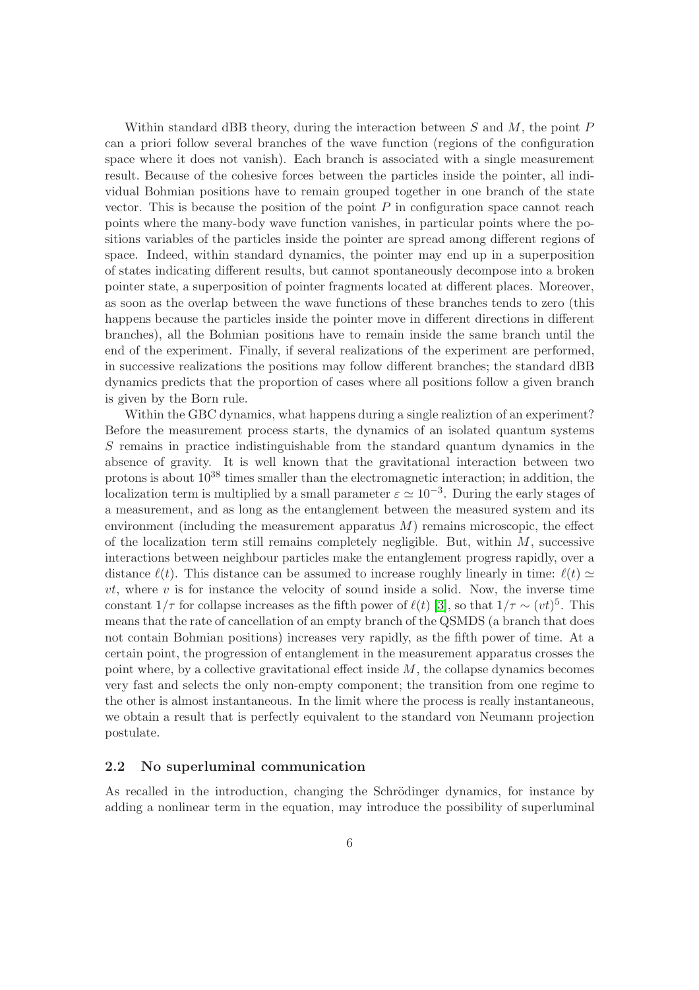Within standard dBB theory, during the interaction between  $S$  and  $M$ , the point  $P$ can a priori follow several branches of the wave function (regions of the configuration space where it does not vanish). Each branch is associated with a single measurement result. Because of the cohesive forces between the particles inside the pointer, all individual Bohmian positions have to remain grouped together in one branch of the state vector. This is because the position of the point  $P$  in configuration space cannot reach points where the many-body wave function vanishes, in particular points where the positions variables of the particles inside the pointer are spread among different regions of space. Indeed, within standard dynamics, the pointer may end up in a superposition of states indicating different results, but cannot spontaneously decompose into a broken pointer state, a superposition of pointer fragments located at different places. Moreover, as soon as the overlap between the wave functions of these branches tends to zero (this happens because the particles inside the pointer move in different directions in different branches), all the Bohmian positions have to remain inside the same branch until the end of the experiment. Finally, if several realizations of the experiment are performed, in successive realizations the positions may follow different branches; the standard dBB dynamics predicts that the proportion of cases where all positions follow a given branch is given by the Born rule.

Within the GBC dynamics, what happens during a single realiztion of an experiment? Before the measurement process starts, the dynamics of an isolated quantum systems S remains in practice indistinguishable from the standard quantum dynamics in the absence of gravity. It is well known that the gravitational interaction between two protons is about  $10^{38}$  times smaller than the electromagnetic interaction; in addition, the localization term is multiplied by a small parameter  $\varepsilon \simeq 10^{-3}$ . During the early stages of a measurement, and as long as the entanglement between the measured system and its environment (including the measurement apparatus  $M$ ) remains microscopic, the effect of the localization term still remains completely negligible. But, within  $M$ , successive interactions between neighbour particles make the entanglement progress rapidly, over a distance  $\ell(t)$ . This distance can be assumed to increase roughly linearly in time:  $\ell(t) \simeq$  $vt$ , where v is for instance the velocity of sound inside a solid. Now, the inverse time constant  $1/\tau$  for collapse increases as the fifth power of  $\ell(t)$  [\[3\]](#page-15-1), so that  $1/\tau \sim (vt)^5$ . This means that the rate of cancellation of an empty branch of the QSMDS (a branch that does not contain Bohmian positions) increases very rapidly, as the fifth power of time. At a certain point, the progression of entanglement in the measurement apparatus crosses the point where, by a collective gravitational effect inside  $M$ , the collapse dynamics becomes very fast and selects the only non-empty component; the transition from one regime to the other is almost instantaneous. In the limit where the process is really instantaneous, we obtain a result that is perfectly equivalent to the standard von Neumann projection postulate.

#### <span id="page-5-0"></span>2.2 No superluminal communication

As recalled in the introduction, changing the Schrödinger dynamics, for instance by adding a nonlinear term in the equation, may introduce the possibility of superluminal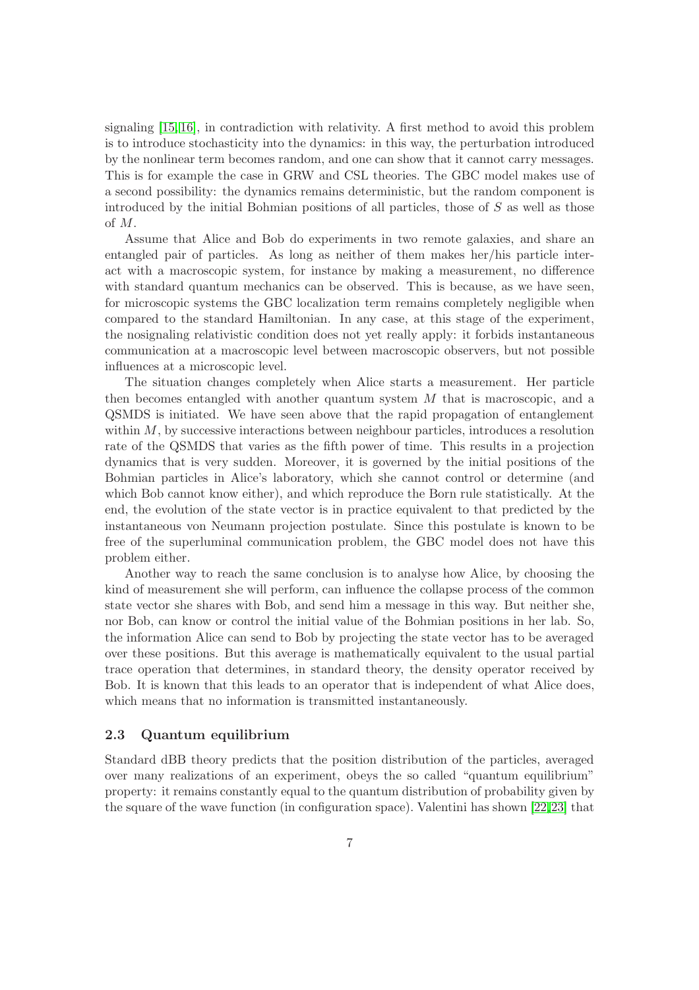signaling [\[15,](#page-16-8) [16\]](#page-16-9), in contradiction with relativity. A first method to avoid this problem is to introduce stochasticity into the dynamics: in this way, the perturbation introduced by the nonlinear term becomes random, and one can show that it cannot carry messages. This is for example the case in GRW and CSL theories. The GBC model makes use of a second possibility: the dynamics remains deterministic, but the random component is introduced by the initial Bohmian positions of all particles, those of  $S$  as well as those of M.

Assume that Alice and Bob do experiments in two remote galaxies, and share an entangled pair of particles. As long as neither of them makes her/his particle interact with a macroscopic system, for instance by making a measurement, no difference with standard quantum mechanics can be observed. This is because, as we have seen, for microscopic systems the GBC localization term remains completely negligible when compared to the standard Hamiltonian. In any case, at this stage of the experiment, the nosignaling relativistic condition does not yet really apply: it forbids instantaneous communication at a macroscopic level between macroscopic observers, but not possible influences at a microscopic level.

The situation changes completely when Alice starts a measurement. Her particle then becomes entangled with another quantum system M that is macroscopic, and a QSMDS is initiated. We have seen above that the rapid propagation of entanglement within  $M$ , by successive interactions between neighbour particles, introduces a resolution rate of the QSMDS that varies as the fifth power of time. This results in a projection dynamics that is very sudden. Moreover, it is governed by the initial positions of the Bohmian particles in Alice's laboratory, which she cannot control or determine (and which Bob cannot know either), and which reproduce the Born rule statistically. At the end, the evolution of the state vector is in practice equivalent to that predicted by the instantaneous von Neumann projection postulate. Since this postulate is known to be free of the superluminal communication problem, the GBC model does not have this problem either.

Another way to reach the same conclusion is to analyse how Alice, by choosing the kind of measurement she will perform, can influence the collapse process of the common state vector she shares with Bob, and send him a message in this way. But neither she, nor Bob, can know or control the initial value of the Bohmian positions in her lab. So, the information Alice can send to Bob by projecting the state vector has to be averaged over these positions. But this average is mathematically equivalent to the usual partial trace operation that determines, in standard theory, the density operator received by Bob. It is known that this leads to an operator that is independent of what Alice does, which means that no information is transmitted instantaneously.

#### 2.3 Quantum equilibrium

Standard dBB theory predicts that the position distribution of the particles, averaged over many realizations of an experiment, obeys the so called "quantum equilibrium" property: it remains constantly equal to the quantum distribution of probability given by the square of the wave function (in configuration space). Valentini has shown [\[22,](#page-17-1)[23\]](#page-17-2) that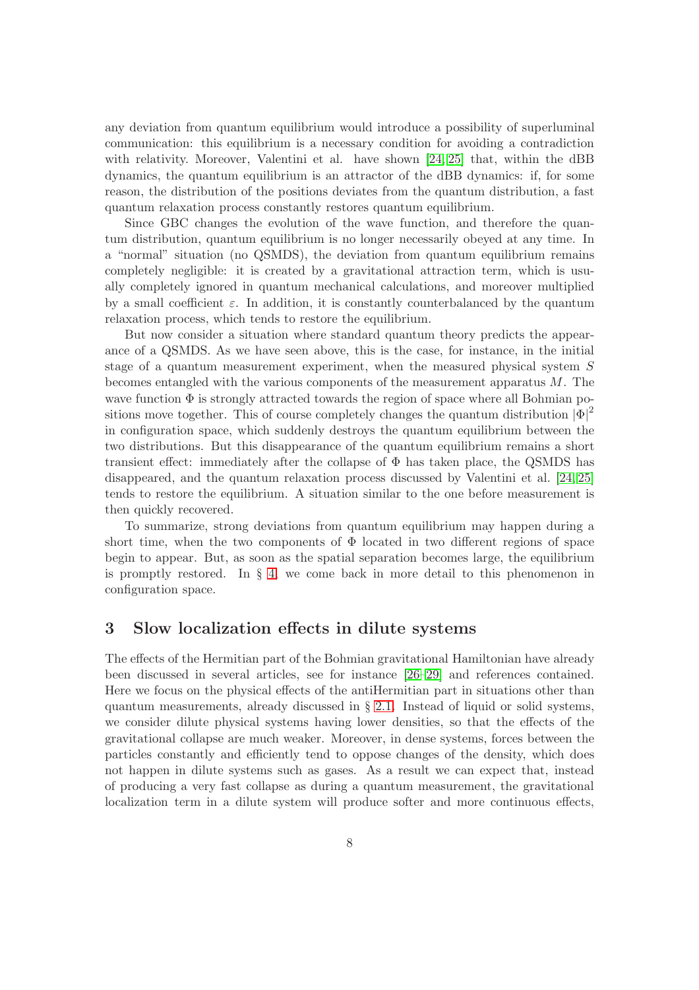any deviation from quantum equilibrium would introduce a possibility of superluminal communication: this equilibrium is a necessary condition for avoiding a contradiction with relativity. Moreover, Valentini et al. have shown [\[24,](#page-17-3) [25\]](#page-17-4) that, within the dBB dynamics, the quantum equilibrium is an attractor of the dBB dynamics: if, for some reason, the distribution of the positions deviates from the quantum distribution, a fast quantum relaxation process constantly restores quantum equilibrium.

Since GBC changes the evolution of the wave function, and therefore the quantum distribution, quantum equilibrium is no longer necessarily obeyed at any time. In a "normal" situation (no QSMDS), the deviation from quantum equilibrium remains completely negligible: it is created by a gravitational attraction term, which is usually completely ignored in quantum mechanical calculations, and moreover multiplied by a small coefficient  $\varepsilon$ . In addition, it is constantly counterbalanced by the quantum relaxation process, which tends to restore the equilibrium.

But now consider a situation where standard quantum theory predicts the appearance of a QSMDS. As we have seen above, this is the case, for instance, in the initial stage of a quantum measurement experiment, when the measured physical system S becomes entangled with the various components of the measurement apparatus  $M$ . The wave function  $\Phi$  is strongly attracted towards the region of space where all Bohmian positions move together. This of course completely changes the quantum distribution  $|\Phi|^2$ in configuration space, which suddenly destroys the quantum equilibrium between the two distributions. But this disappearance of the quantum equilibrium remains a short transient effect: immediately after the collapse of  $\Phi$  has taken place, the QSMDS has disappeared, and the quantum relaxation process discussed by Valentini et al. [\[24,](#page-17-3) [25\]](#page-17-4) tends to restore the equilibrium. A situation similar to the one before measurement is then quickly recovered.

To summarize, strong deviations from quantum equilibrium may happen during a short time, when the two components of  $\Phi$  located in two different regions of space begin to appear. But, as soon as the spatial separation becomes large, the equilibrium is promptly restored. In  $\S 4$ , we come back in more detail to this phenomenon in configuration space.

### <span id="page-7-0"></span>3 Slow localization effects in dilute systems

The effects of the Hermitian part of the Bohmian gravitational Hamiltonian have already been discussed in several articles, see for instance [\[26](#page-17-5)[–29\]](#page-17-6) and references contained. Here we focus on the physical effects of the antiHermitian part in situations other than quantum measurements, already discussed in § [2.1.](#page-4-1) Instead of liquid or solid systems, we consider dilute physical systems having lower densities, so that the effects of the gravitational collapse are much weaker. Moreover, in dense systems, forces between the particles constantly and efficiently tend to oppose changes of the density, which does not happen in dilute systems such as gases. As a result we can expect that, instead of producing a very fast collapse as during a quantum measurement, the gravitational localization term in a dilute system will produce softer and more continuous effects,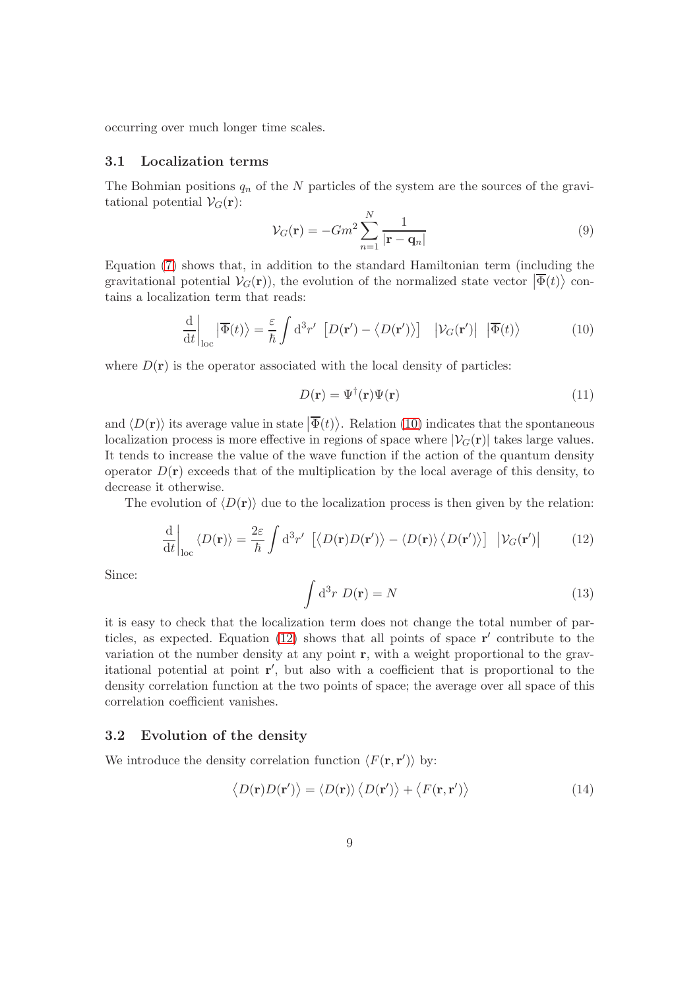occurring over much longer time scales.

#### 3.1 Localization terms

The Bohmian positions  $q_n$  of the N particles of the system are the sources of the gravitational potential  $V_G(\mathbf{r})$ :

$$
\mathcal{V}_G(\mathbf{r}) = -Gm^2 \sum_{n=1}^N \frac{1}{|\mathbf{r} - \mathbf{q}_n|}
$$
\n(9)

Equation [\(7\)](#page-4-2) shows that, in addition to the standard Hamiltonian term (including the gravitational potential  $V_G(\mathbf{r})$ , the evolution of the normalized state vector  $|\overline{\Phi}(t)\rangle$  contains a localization term that reads:

<span id="page-8-0"></span>
$$
\frac{\mathrm{d}}{\mathrm{d}t}\bigg|_{\mathrm{loc}}|\overline{\Phi}(t)\rangle = \frac{\varepsilon}{\hbar} \int \mathrm{d}^3 r' \left[D(\mathbf{r}') - \langle D(\mathbf{r}') \rangle\right] \left| \mathcal{V}_G(\mathbf{r}') \right| \left| \overline{\Phi}(t) \right\rangle \tag{10}
$$

where  $D(\mathbf{r})$  is the operator associated with the local density of particles:

$$
D(\mathbf{r}) = \Psi^{\dagger}(\mathbf{r})\Psi(\mathbf{r})\tag{11}
$$

and  $\langle D(\mathbf{r})\rangle$  its average value in state  $|\overline{\Phi}(t)\rangle$ . Relation [\(10\)](#page-8-0) indicates that the spontaneous localization process is more effective in regions of space where  $|\mathcal{V}_G(\mathbf{r})|$  takes large values. It tends to increase the value of the wave function if the action of the quantum density operator  $D(\mathbf{r})$  exceeds that of the multiplication by the local average of this density, to decrease it otherwise.

The evolution of  $\langle D(\mathbf{r}) \rangle$  due to the localization process is then given by the relation:

<span id="page-8-1"></span>
$$
\frac{\mathrm{d}}{\mathrm{d}t}\bigg|_{\mathrm{loc}}\langle D(\mathbf{r})\rangle = \frac{2\varepsilon}{\hbar} \int \mathrm{d}^3 r' \left[ \langle D(\mathbf{r})D(\mathbf{r}') \rangle - \langle D(\mathbf{r})\rangle \langle D(\mathbf{r}') \rangle \right] \left| \mathcal{V}_G(\mathbf{r}') \right| \tag{12}
$$

Since:

<span id="page-8-2"></span>
$$
\int d^3r \ D(\mathbf{r}) = N \tag{13}
$$

it is easy to check that the localization term does not change the total number of particles, as expected. Equation  $(12)$  shows that all points of space  $\mathbf{r}'$  contribute to the variation ot the number density at any point r, with a weight proportional to the gravitational potential at point r ′ , but also with a coefficient that is proportional to the density correlation function at the two points of space; the average over all space of this correlation coefficient vanishes.

#### 3.2 Evolution of the density

We introduce the density correlation function  $\langle F(\mathbf{r}, \mathbf{r}')\rangle$  by:

$$
\langle D(\mathbf{r})D(\mathbf{r}')\rangle = \langle D(\mathbf{r})\rangle \langle D(\mathbf{r}')\rangle + \langle F(\mathbf{r}, \mathbf{r}')\rangle \tag{14}
$$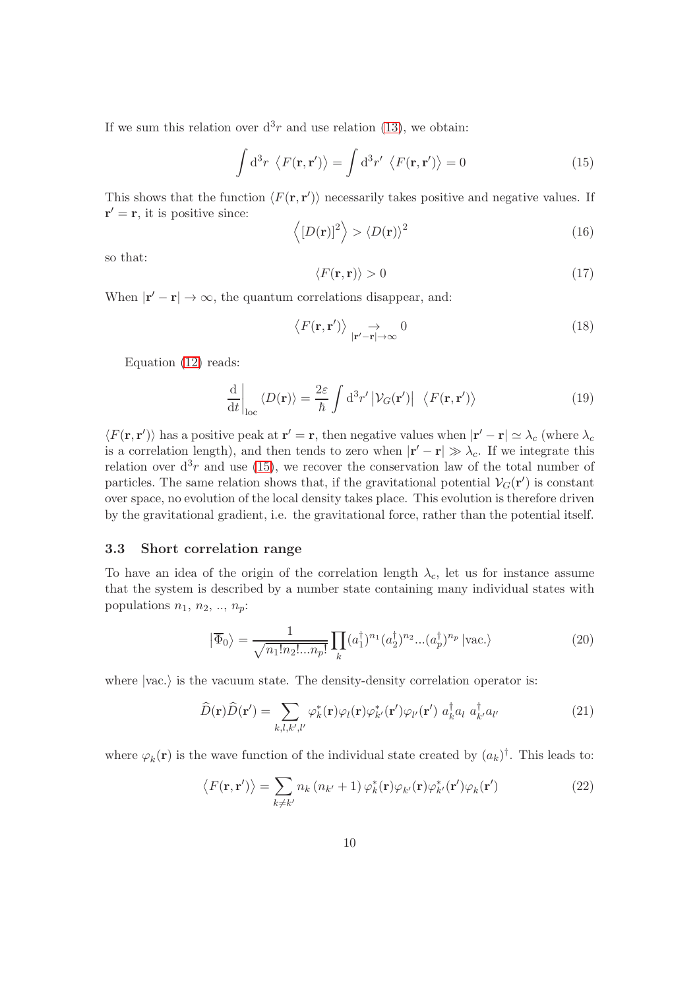If we sum this relation over  $d^3r$  and use relation [\(13\)](#page-8-2), we obtain:

<span id="page-9-0"></span>
$$
\int d^3r \langle F(\mathbf{r}, \mathbf{r}') \rangle = \int d^3r' \langle F(\mathbf{r}, \mathbf{r}') \rangle = 0 \tag{15}
$$

This shows that the function  $\langle F(\mathbf{r}, \mathbf{r}')\rangle$  necessarily takes positive and negative values. If  $\mathbf{r}' = \mathbf{r}$ , it is positive since:

$$
\langle [D(\mathbf{r})]^2 \rangle > \langle D(\mathbf{r}) \rangle^2 \tag{16}
$$

so that:

<span id="page-9-1"></span>
$$
\langle F(\mathbf{r}, \mathbf{r}) \rangle > 0 \tag{17}
$$

When  $|\mathbf{r}' - \mathbf{r}| \to \infty$ , the quantum correlations disappear, and:

$$
\langle F(\mathbf{r}, \mathbf{r}') \rangle \underset{|\mathbf{r}' - \mathbf{r}| \to \infty}{\to} 0
$$
\n(18)

Equation [\(12\)](#page-8-1) reads:

$$
\frac{\mathrm{d}}{\mathrm{d}t}\bigg|_{\mathrm{loc}}\langle D(\mathbf{r})\rangle = \frac{2\varepsilon}{\hbar} \int \mathrm{d}^3 r' \left| \mathcal{V}_G(\mathbf{r}') \right| \langle F(\mathbf{r}, \mathbf{r}') \rangle \tag{19}
$$

 $\langle F(\mathbf{r}, \mathbf{r}')\rangle$  has a positive peak at  $\mathbf{r}' = \mathbf{r}$ , then negative values when  $|\mathbf{r}' - \mathbf{r}| \simeq \lambda_c$  (where  $\lambda_c$ is a correlation length), and then tends to zero when  $|\mathbf{r}' - \mathbf{r}| \gg \lambda_c$ . If we integrate this relation over  $d^3r$  and use [\(15\)](#page-9-0), we recover the conservation law of the total number of particles. The same relation shows that, if the gravitational potential  $V_G(\mathbf{r}')$  is constant over space, no evolution of the local density takes place. This evolution is therefore driven by the gravitational gradient, i.e. the gravitational force, rather than the potential itself.

#### 3.3 Short correlation range

To have an idea of the origin of the correlation length  $\lambda_c$ , let us for instance assume that the system is described by a number state containing many individual states with populations  $n_1$ ,  $n_2$ , ..,  $n_p$ :

$$
\left|\overline{\Phi}_0\right\rangle = \frac{1}{\sqrt{n_1! n_2! \dots n_p!}} \prod_k (a_1^\dagger)^{n_1} (a_2^\dagger)^{n_2} \dots (a_p^\dagger)^{n_p} \left|\text{vac.}\right\rangle \tag{20}
$$

where  $|vac.\rangle$  is the vacuum state. The density-density correlation operator is:

$$
\widehat{D}(\mathbf{r})\widehat{D}(\mathbf{r}') = \sum_{k,l,k',l'} \varphi_k^*(\mathbf{r})\varphi_l(\mathbf{r})\varphi_{k'}^*(\mathbf{r}')\varphi_{l'}(\mathbf{r}') a_k^{\dagger} a_l a_{k'}^{\dagger} a_{l'}
$$
\n(21)

where  $\varphi_k(\mathbf{r})$  is the wave function of the individual state created by  $(a_k)^\dagger$ . This leads to:

$$
\langle F(\mathbf{r}, \mathbf{r}') \rangle = \sum_{k \neq k'} n_k (n_{k'} + 1) \varphi_k^*(\mathbf{r}) \varphi_{k'}(\mathbf{r}) \varphi_{k'}^*(\mathbf{r}') \varphi_k(\mathbf{r}')
$$
(22)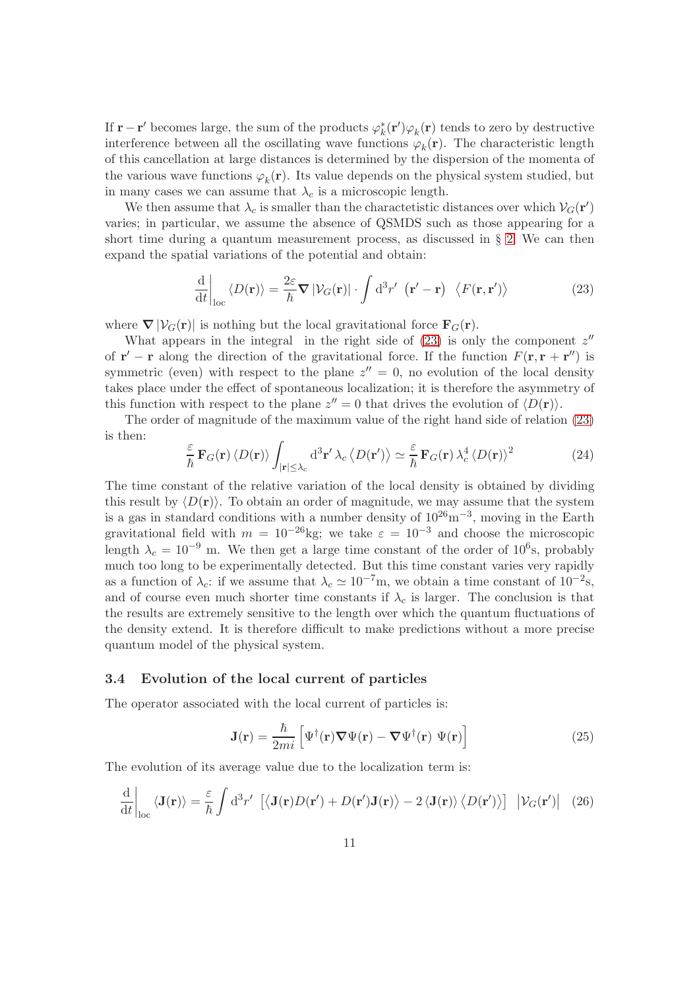If  $\mathbf{r} - \mathbf{r}'$  becomes large, the sum of the products  $\varphi_k^*(\mathbf{r}')\varphi_k(\mathbf{r})$  tends to zero by destructive interference between all the oscillating wave functions  $\varphi_k(\mathbf{r})$ . The characteristic length of this cancellation at large distances is determined by the dispersion of the momenta of the various wave functions  $\varphi_k(\mathbf{r})$ . Its value depends on the physical system studied, but in many cases we can assume that  $\lambda_c$  is a microscopic length.

We then assume that  $\lambda_c$  is smaller than the charactetistic distances over which  $V_G(\mathbf{r}')$ varies; in particular, we assume the absence of QSMDS such as those appearing for a short time during a quantum measurement process, as discussed in  $\S$  [2.](#page-4-0) We can then expand the spatial variations of the potential and obtain:

<span id="page-10-0"></span>
$$
\frac{\mathrm{d}}{\mathrm{d}t}\bigg|_{\mathrm{loc}}\langle D(\mathbf{r})\rangle = \frac{2\varepsilon}{\hbar} \nabla |\mathcal{V}_G(\mathbf{r})| \cdot \int \mathrm{d}^3 r' \, (\mathbf{r}' - \mathbf{r}) \, \langle F(\mathbf{r}, \mathbf{r}')\rangle \tag{23}
$$

where  $\nabla |\mathcal{V}_G(\mathbf{r})|$  is nothing but the local gravitational force  $\mathbf{F}_G(\mathbf{r})$ .

What appears in the integral in the right side of  $(23)$  is only the component  $z''$ of  $\mathbf{r}' - \mathbf{r}$  along the direction of the gravitational force. If the function  $F(\mathbf{r}, \mathbf{r} + \mathbf{r}'')$  is symmetric (even) with respect to the plane  $z'' = 0$ , no evolution of the local density takes place under the effect of spontaneous localization; it is therefore the asymmetry of this function with respect to the plane  $z'' = 0$  that drives the evolution of  $\langle D(\mathbf{r}) \rangle$ .

The order of magnitude of the maximum value of the right hand side of relation [\(23\)](#page-10-0) is then:

$$
\frac{\varepsilon}{\hbar} \mathbf{F}_G(\mathbf{r}) \langle D(\mathbf{r}) \rangle \int_{|\mathbf{r}| \leq \lambda_c} d^3 \mathbf{r}' \lambda_c \langle D(\mathbf{r}') \rangle \simeq \frac{\varepsilon}{\hbar} \mathbf{F}_G(\mathbf{r}) \lambda_c^4 \langle D(\mathbf{r}) \rangle^2 \tag{24}
$$

The time constant of the relative variation of the local density is obtained by dividing this result by  $\langle D(\mathbf{r})\rangle$ . To obtain an order of magnitude, we may assume that the system is a gas in standard conditions with a number density of  $10^{26}$ m<sup>-3</sup>, moving in the Earth gravitational field with  $m = 10^{-26}$ kg; we take  $\varepsilon = 10^{-3}$  and choose the microscopic length  $\lambda_c = 10^{-9}$  m. We then get a large time constant of the order of 10<sup>6</sup>s, probably much too long to be experimentally detected. But this time constant varies very rapidly as a function of  $\lambda_c$ : if we assume that  $\lambda_c \simeq 10^{-7}$ m, we obtain a time constant of  $10^{-2}$ s, and of course even much shorter time constants if  $\lambda_c$  is larger. The conclusion is that the results are extremely sensitive to the length over which the quantum fluctuations of the density extend. It is therefore difficult to make predictions without a more precise quantum model of the physical system.

#### 3.4 Evolution of the local current of particles

The operator associated with the local current of particles is:

$$
\mathbf{J}(\mathbf{r}) = \frac{\hbar}{2mi} \left[ \Psi^{\dagger}(\mathbf{r}) \nabla \Psi(\mathbf{r}) - \nabla \Psi^{\dagger}(\mathbf{r}) \Psi(\mathbf{r}) \right]
$$
(25)

The evolution of its average value due to the localization term is:

$$
\frac{\mathrm{d}}{\mathrm{d}t}\bigg|_{\mathrm{loc}}\langle\mathbf{J}(\mathbf{r})\rangle = \frac{\varepsilon}{\hbar}\int \mathrm{d}^3r'\ \left[\langle\mathbf{J}(\mathbf{r})D(\mathbf{r}') + D(\mathbf{r}')\mathbf{J}(\mathbf{r})\rangle - 2\langle\mathbf{J}(\mathbf{r})\rangle\langle D(\mathbf{r}')\rangle\right]\ \left|\mathcal{V}_G(\mathbf{r}')\right|\ (26)
$$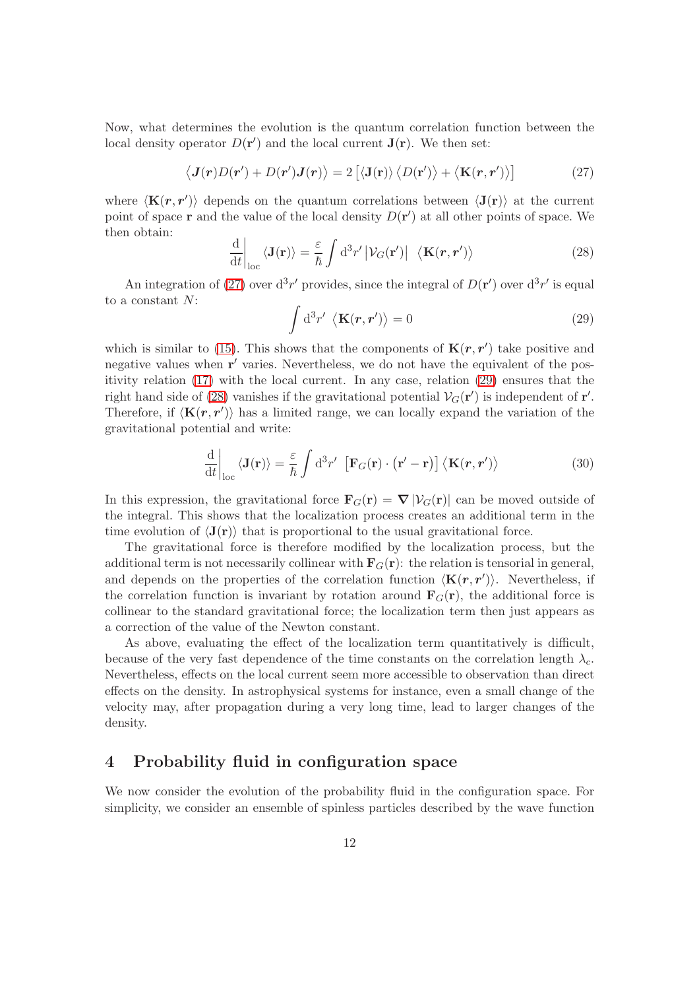Now, what determines the evolution is the quantum correlation function between the local density operator  $D(\mathbf{r}')$  and the local current  $\mathbf{J}(\mathbf{r})$ . We then set:

<span id="page-11-1"></span>
$$
\langle \mathbf{J}(\mathbf{r})D(\mathbf{r}') + D(\mathbf{r}')\mathbf{J}(\mathbf{r}) \rangle = 2 [\langle \mathbf{J}(\mathbf{r}) \rangle \langle D(\mathbf{r}') \rangle + \langle \mathbf{K}(\mathbf{r}, \mathbf{r}') \rangle] \tag{27}
$$

where  $\langle K(r, r')\rangle$  depends on the quantum correlations between  $\langle J(r)\rangle$  at the current point of space  $\bf{r}$  and the value of the local density  $D(\bf{r}')$  at all other points of space. We then obtain:

<span id="page-11-3"></span>
$$
\frac{\mathrm{d}}{\mathrm{d}t}\bigg|_{\mathrm{loc}}\langle\mathbf{J}(\mathbf{r})\rangle = \frac{\varepsilon}{\hbar} \int \mathrm{d}^3 r' \left| \mathcal{V}_G(\mathbf{r}') \right| \langle\mathbf{K}(\mathbf{r}, \mathbf{r}') \rangle \tag{28}
$$

An integration of [\(27\)](#page-11-1) over  $d^3r'$  provides, since the integral of  $D(\mathbf{r}')$  over  $d^3r'$  is equal to a constant N:

<span id="page-11-2"></span>
$$
\int d^3 r' \langle \mathbf{K}(\mathbf{r}, \mathbf{r}') \rangle = 0 \tag{29}
$$

which is similar to [\(15\)](#page-9-0). This shows that the components of  $\mathbf{K}(r,r')$  take positive and negative values when  $\mathbf{r}'$  varies. Nevertheless, we do not have the equivalent of the positivity relation [\(17\)](#page-9-1) with the local current. In any case, relation [\(29\)](#page-11-2) ensures that the right hand side of [\(28\)](#page-11-3) vanishes if the gravitational potential  $V_G(\mathbf{r}')$  is independent of  $\mathbf{r}'$ . Therefore, if  $\langle K(r, r')\rangle$  has a limited range, we can locally expand the variation of the gravitational potential and write:

$$
\frac{\mathrm{d}}{\mathrm{d}t}\bigg|_{\mathrm{loc}}\langle\mathbf{J}(\mathbf{r})\rangle = \frac{\varepsilon}{\hbar} \int \mathrm{d}^3 r' \left[\mathbf{F}_G(\mathbf{r}) \cdot (\mathbf{r}' - \mathbf{r})\right] \langle\mathbf{K}(\mathbf{r}, \mathbf{r}')\rangle \tag{30}
$$

In this expression, the gravitational force  $\mathbf{F}_G(\mathbf{r}) = \nabla |\mathcal{V}_G(\mathbf{r})|$  can be moved outside of the integral. This shows that the localization process creates an additional term in the time evolution of  $\langle J(r) \rangle$  that is proportional to the usual gravitational force.

The gravitational force is therefore modified by the localization process, but the additional term is not necessarily collinear with  $\mathbf{F}_G(\mathbf{r})$ : the relation is tensorial in general, and depends on the properties of the correlation function  $\langle \mathbf{K}(r, r') \rangle$ . Nevertheless, if the correlation function is invariant by rotation around  $\mathbf{F}_G(\mathbf{r})$ , the additional force is collinear to the standard gravitational force; the localization term then just appears as a correction of the value of the Newton constant.

As above, evaluating the effect of the localization term quantitatively is difficult, because of the very fast dependence of the time constants on the correlation length  $\lambda_c$ . Nevertheless, effects on the local current seem more accessible to observation than direct effects on the density. In astrophysical systems for instance, even a small change of the velocity may, after propagation during a very long time, lead to larger changes of the density.

### <span id="page-11-0"></span>4 Probability fluid in configuration space

We now consider the evolution of the probability fluid in the configuration space. For simplicity, we consider an ensemble of spinless particles described by the wave function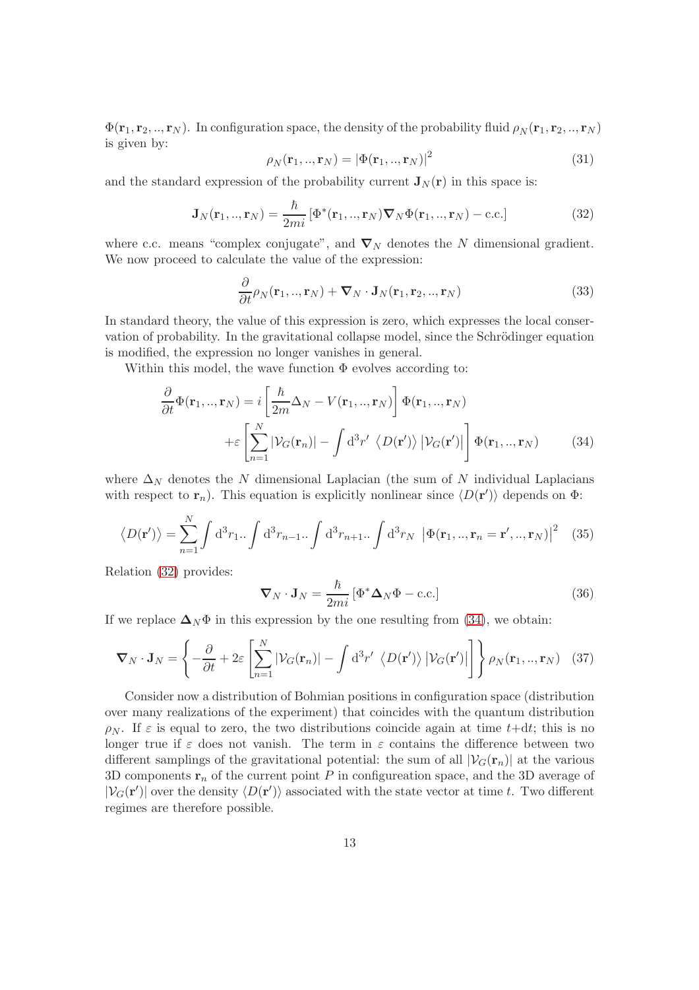$\Phi(\mathbf{r}_1, \mathbf{r}_2, ..., \mathbf{r}_N)$ . In configuration space, the density of the probability fluid  $\rho_N(\mathbf{r}_1, \mathbf{r}_2, ..., \mathbf{r}_N)$ is given by:

$$
\rho_N(\mathbf{r}_1,..,\mathbf{r}_N) = |\Phi(\mathbf{r}_1,..,\mathbf{r}_N)|^2 \tag{31}
$$

and the standard expression of the probability current  $J_N(r)$  in this space is:

<span id="page-12-0"></span>
$$
\mathbf{J}_N(\mathbf{r}_1,..,\mathbf{r}_N) = \frac{\hbar}{2mi} \left[ \Phi^*(\mathbf{r}_1,..,\mathbf{r}_N) \nabla_N \Phi(\mathbf{r}_1,..,\mathbf{r}_N) - \text{c.c.} \right]
$$
(32)

where c.c. means "complex conjugate", and  $\nabla_N$  denotes the N dimensional gradient. We now proceed to calculate the value of the expression:

$$
\frac{\partial}{\partial t}\rho_N(\mathbf{r}_1,..,\mathbf{r}_N) + \boldsymbol{\nabla}_N \cdot \mathbf{J}_N(\mathbf{r}_1,\mathbf{r}_2,..,\mathbf{r}_N)
$$
\n(33)

In standard theory, the value of this expression is zero, which expresses the local conservation of probability. In the gravitational collapse model, since the Schrödinger equation is modified, the expression no longer vanishes in general.

Within this model, the wave function  $\Phi$  evolves according to:

$$
\frac{\partial}{\partial t}\Phi(\mathbf{r}_{1},..,\mathbf{r}_{N}) = i \left[\frac{\hbar}{2m}\Delta_{N} - V(\mathbf{r}_{1},..,\mathbf{r}_{N})\right] \Phi(\mathbf{r}_{1},..,\mathbf{r}_{N})
$$

$$
+ \varepsilon \left[\sum_{n=1}^{N} |\mathcal{V}_{G}(\mathbf{r}_{n})| - \int d^{3}r' \langle D(\mathbf{r}') \rangle |\mathcal{V}_{G}(\mathbf{r}')| \right] \Phi(\mathbf{r}_{1},..,\mathbf{r}_{N}) \tag{34}
$$

where  $\Delta_N$  denotes the N dimensional Laplacian (the sum of N individual Laplacians with respect to  $\mathbf{r}_n$ ). This equation is explicitly nonlinear since  $\langle D(\mathbf{r}')\rangle$  depends on  $\Phi$ :

$$
\langle D(\mathbf{r}') \rangle = \sum_{n=1}^{N} \int d^3 r_1 \cdot \int d^3 r_{n-1} \cdot \int d^3 r_{n+1} \cdot \int d^3 r_N \, |\Phi(\mathbf{r}_1,..,\mathbf{r}_n = \mathbf{r}',..,\mathbf{r}_N)|^2 \quad (35)
$$

Relation [\(32\)](#page-12-0) provides:

<span id="page-12-1"></span>
$$
\nabla_N \cdot \mathbf{J}_N = \frac{\hbar}{2mi} \left[ \Phi^* \mathbf{\Delta}_N \Phi - \text{c.c.} \right] \tag{36}
$$

If we replace  $\Delta_N \Phi$  in this expression by the one resulting from [\(34\)](#page-12-1), we obtain:

<span id="page-12-2"></span>
$$
\nabla_N \cdot \mathbf{J}_N = \left\{ -\frac{\partial}{\partial t} + 2\varepsilon \left[ \sum_{n=1}^N |\mathcal{V}_G(\mathbf{r}_n)| - \int d^3 r' \left\langle D(\mathbf{r}') \right\rangle |\mathcal{V}_G(\mathbf{r}')| \right] \right\} \rho_N(\mathbf{r}_1,..,\mathbf{r}_N) \tag{37}
$$

Consider now a distribution of Bohmian positions in configuration space (distribution over many realizations of the experiment) that coincides with the quantum distribution  $\rho_N$ . If  $\varepsilon$  is equal to zero, the two distributions coincide again at time t+dt; this is no longer true if  $\varepsilon$  does not vanish. The term in  $\varepsilon$  contains the difference between two different samplings of the gravitational potential: the sum of all  $|\mathcal{V}_G(\mathbf{r}_n)|$  at the various 3D components  $\mathbf{r}_n$  of the current point P in configureation space, and the 3D average of  $|\mathcal{V}_G(\mathbf{r}')|$  over the density  $\langle D(\mathbf{r}')\rangle$  associated with the state vector at time t. Two different regimes are therefore possible.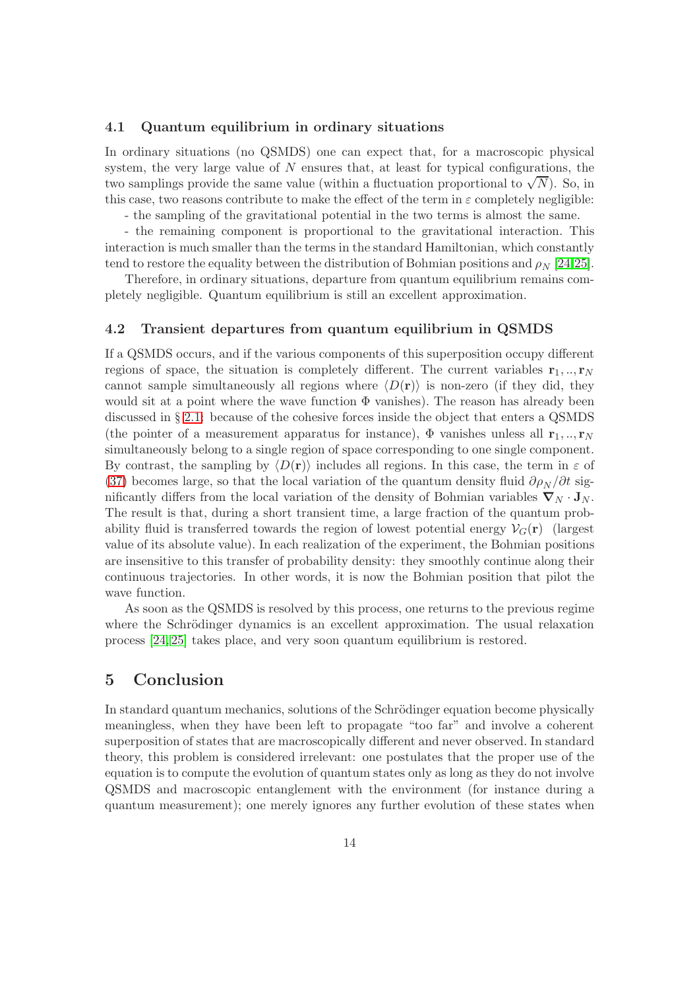#### 4.1 Quantum equilibrium in ordinary situations

In ordinary situations (no QSMDS) one can expect that, for a macroscopic physical system, the very large value of  $N$  ensures that, at least for typical configurations, the two samplings provide the same value (within a fluctuation proportional to  $\sqrt{N}$ ). So, in this case, two reasons contribute to make the effect of the term in  $\varepsilon$  completely negligible:

- the sampling of the gravitational potential in the two terms is almost the same.

- the remaining component is proportional to the gravitational interaction. This interaction is much smaller than the terms in the standard Hamiltonian, which constantly tend to restore the equality between the distribution of Bohmian positions and  $\rho_N$  [\[24,](#page-17-3)[25\]](#page-17-4).

Therefore, in ordinary situations, departure from quantum equilibrium remains completely negligible. Quantum equilibrium is still an excellent approximation.

#### 4.2 Transient departures from quantum equilibrium in QSMDS

If a QSMDS occurs, and if the various components of this superposition occupy different regions of space, the situation is completely different. The current variables  $\mathbf{r}_1, \dots, \mathbf{r}_N$ cannot sample simultaneously all regions where  $\langle D(\mathbf{r})\rangle$  is non-zero (if they did, they would sit at a point where the wave function  $\Phi$  vanishes). The reason has already been discussed in § [2.1:](#page-4-1) because of the cohesive forces inside the object that enters a QSMDS (the pointer of a measurement apparatus for instance),  $\Phi$  vanishes unless all  $\mathbf{r}_1, \dots, \mathbf{r}_N$ simultaneously belong to a single region of space corresponding to one single component. By contrast, the sampling by  $\langle D(\mathbf{r})\rangle$  includes all regions. In this case, the term in  $\varepsilon$  of [\(37\)](#page-12-2) becomes large, so that the local variation of the quantum density fluid  $\partial \rho_N / \partial t$  significantly differs from the local variation of the density of Bohmian variables  $\nabla_N \cdot \mathbf{J}_N$ . The result is that, during a short transient time, a large fraction of the quantum probability fluid is transferred towards the region of lowest potential energy  $\mathcal{V}_G(\mathbf{r})$  (largest value of its absolute value). In each realization of the experiment, the Bohmian positions are insensitive to this transfer of probability density: they smoothly continue along their continuous trajectories. In other words, it is now the Bohmian position that pilot the wave function.

As soon as the QSMDS is resolved by this process, one returns to the previous regime where the Schrödinger dynamics is an excellent approximation. The usual relaxation process [\[24,](#page-17-3) [25\]](#page-17-4) takes place, and very soon quantum equilibrium is restored.

# 5 Conclusion

In standard quantum mechanics, solutions of the Schrödinger equation become physically meaningless, when they have been left to propagate "too far" and involve a coherent superposition of states that are macroscopically different and never observed. In standard theory, this problem is considered irrelevant: one postulates that the proper use of the equation is to compute the evolution of quantum states only as long as they do not involve QSMDS and macroscopic entanglement with the environment (for instance during a quantum measurement); one merely ignores any further evolution of these states when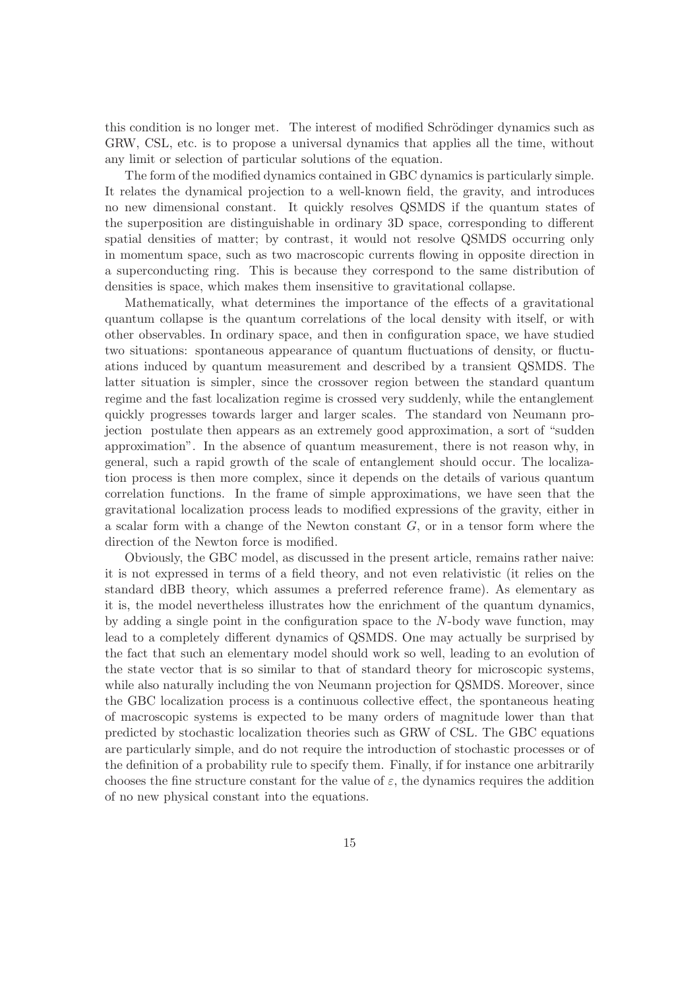this condition is no longer met. The interest of modified Schrödinger dynamics such as GRW, CSL, etc. is to propose a universal dynamics that applies all the time, without any limit or selection of particular solutions of the equation.

The form of the modified dynamics contained in GBC dynamics is particularly simple. It relates the dynamical projection to a well-known field, the gravity, and introduces no new dimensional constant. It quickly resolves QSMDS if the quantum states of the superposition are distinguishable in ordinary 3D space, corresponding to different spatial densities of matter; by contrast, it would not resolve QSMDS occurring only in momentum space, such as two macroscopic currents flowing in opposite direction in a superconducting ring. This is because they correspond to the same distribution of densities is space, which makes them insensitive to gravitational collapse.

Mathematically, what determines the importance of the effects of a gravitational quantum collapse is the quantum correlations of the local density with itself, or with other observables. In ordinary space, and then in configuration space, we have studied two situations: spontaneous appearance of quantum fluctuations of density, or fluctuations induced by quantum measurement and described by a transient QSMDS. The latter situation is simpler, since the crossover region between the standard quantum regime and the fast localization regime is crossed very suddenly, while the entanglement quickly progresses towards larger and larger scales. The standard von Neumann projection postulate then appears as an extremely good approximation, a sort of "sudden approximation". In the absence of quantum measurement, there is not reason why, in general, such a rapid growth of the scale of entanglement should occur. The localization process is then more complex, since it depends on the details of various quantum correlation functions. In the frame of simple approximations, we have seen that the gravitational localization process leads to modified expressions of the gravity, either in a scalar form with a change of the Newton constant  $G$ , or in a tensor form where the direction of the Newton force is modified.

Obviously, the GBC model, as discussed in the present article, remains rather naive: it is not expressed in terms of a field theory, and not even relativistic (it relies on the standard dBB theory, which assumes a preferred reference frame). As elementary as it is, the model nevertheless illustrates how the enrichment of the quantum dynamics, by adding a single point in the configuration space to the  $N$ -body wave function, may lead to a completely different dynamics of QSMDS. One may actually be surprised by the fact that such an elementary model should work so well, leading to an evolution of the state vector that is so similar to that of standard theory for microscopic systems, while also naturally including the von Neumann projection for QSMDS. Moreover, since the GBC localization process is a continuous collective effect, the spontaneous heating of macroscopic systems is expected to be many orders of magnitude lower than that predicted by stochastic localization theories such as GRW of CSL. The GBC equations are particularly simple, and do not require the introduction of stochastic processes or of the definition of a probability rule to specify them. Finally, if for instance one arbitrarily chooses the fine structure constant for the value of  $\varepsilon$ , the dynamics requires the addition of no new physical constant into the equations.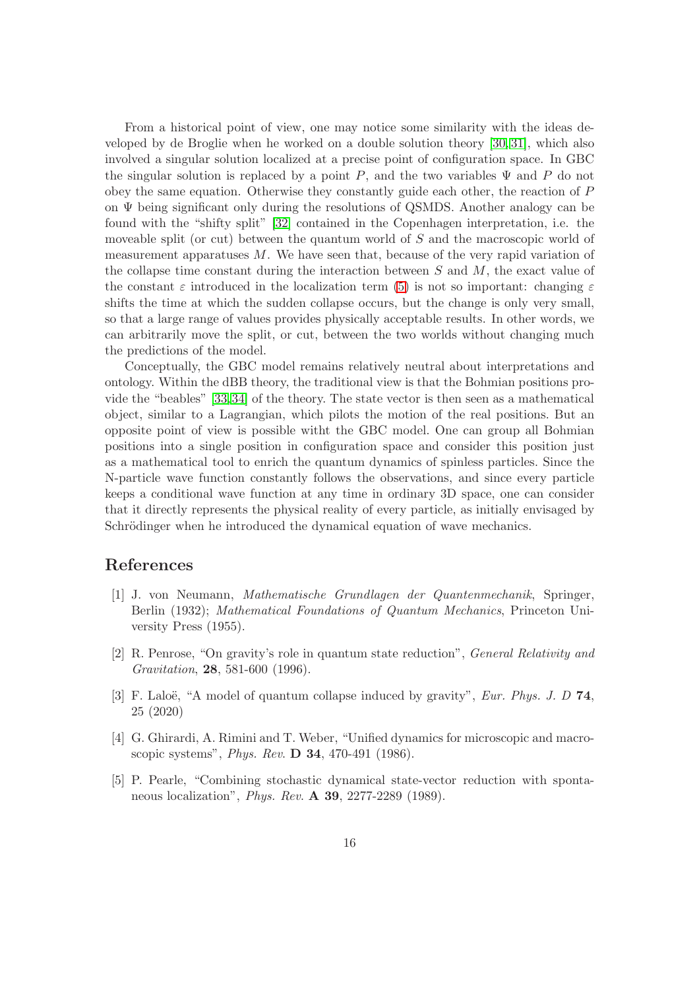From a historical point of view, one may notice some similarity with the ideas developed by de Broglie when he worked on a double solution theory [\[30,](#page-17-7) [31\]](#page-17-8), which also involved a singular solution localized at a precise point of configuration space. In GBC the singular solution is replaced by a point P, and the two variables  $\Psi$  and P do not obey the same equation. Otherwise they constantly guide each other, the reaction of P on Ψ being significant only during the resolutions of QSMDS. Another analogy can be found with the "shifty split" [\[32\]](#page-17-9) contained in the Copenhagen interpretation, i.e. the moveable split (or cut) between the quantum world of S and the macroscopic world of measurement apparatuses  $M$ . We have seen that, because of the very rapid variation of the collapse time constant during the interaction between  $S$  and  $M$ , the exact value of the constant  $\varepsilon$  introduced in the localization term [\(5\)](#page-3-2) is not so important: changing  $\varepsilon$ shifts the time at which the sudden collapse occurs, but the change is only very small, so that a large range of values provides physically acceptable results. In other words, we can arbitrarily move the split, or cut, between the two worlds without changing much the predictions of the model.

Conceptually, the GBC model remains relatively neutral about interpretations and ontology. Within the dBB theory, the traditional view is that the Bohmian positions provide the "beables" [\[33,](#page-17-10)[34\]](#page-17-11) of the theory. The state vector is then seen as a mathematical object, similar to a Lagrangian, which pilots the motion of the real positions. But an opposite point of view is possible witht the GBC model. One can group all Bohmian positions into a single position in configuration space and consider this position just as a mathematical tool to enrich the quantum dynamics of spinless particles. Since the N-particle wave function constantly follows the observations, and since every particle keeps a conditional wave function at any time in ordinary 3D space, one can consider that it directly represents the physical reality of every particle, as initially envisaged by Schrödinger when he introduced the dynamical equation of wave mechanics.

# <span id="page-15-2"></span>References

- [1] J. von Neumann, Mathematische Grundlagen der Quantenmechanik, Springer, Berlin (1932); Mathematical Foundations of Quantum Mechanics, Princeton University Press (1955).
- <span id="page-15-0"></span>[2] R. Penrose, "On gravity's role in quantum state reduction", General Relativity and Gravitation, 28, 581-600 (1996).
- <span id="page-15-1"></span>[3] F. Laloë, "A model of quantum collapse induced by gravity", *Eur. Phys. J. D* 74, 25 (2020)
- <span id="page-15-3"></span>[4] G. Ghirardi, A. Rimini and T. Weber, "Unified dynamics for microscopic and macroscopic systems", Phys. Rev. D 34, 470-491 (1986).
- <span id="page-15-4"></span>[5] P. Pearle, "Combining stochastic dynamical state-vector reduction with spontaneous localization", Phys. Rev. A 39, 2277-2289 (1989).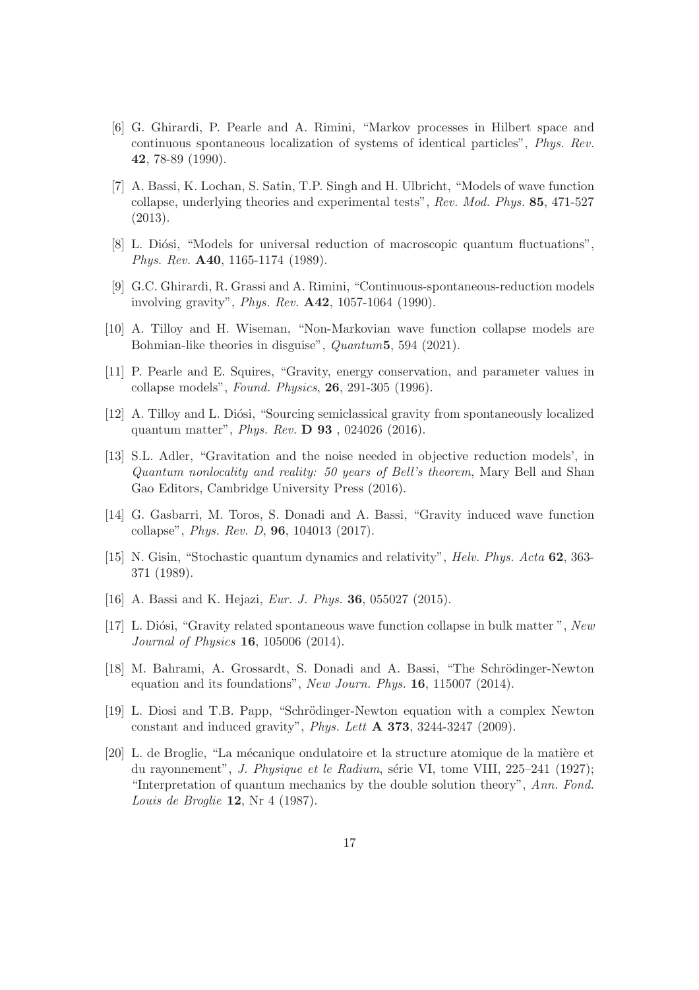- <span id="page-16-0"></span>[6] G. Ghirardi, P. Pearle and A. Rimini, "Markov processes in Hilbert space and continuous spontaneous localization of systems of identical particles", Phys. Rev. 42, 78-89 (1990).
- <span id="page-16-1"></span>[7] A. Bassi, K. Lochan, S. Satin, T.P. Singh and H. Ulbricht, "Models of wave function collapse, underlying theories and experimental tests", Rev. Mod. Phys. 85, 471-527 (2013).
- <span id="page-16-2"></span>[8] L. Diósi, "Models for universal reduction of macroscopic quantum fluctuations", Phys. Rev. A40, 1165-1174 (1989).
- <span id="page-16-3"></span>[9] G.C. Ghirardi, R. Grassi and A. Rimini, "Continuous-spontaneous-reduction models involving gravity", Phys. Rev. A42, 1057-1064 (1990).
- <span id="page-16-4"></span>[10] A. Tilloy and H. Wiseman, "Non-Markovian wave function collapse models are Bohmian-like theories in disguise", Quantum5, 594 (2021).
- [11] P. Pearle and E. Squires, "Gravity, energy conservation, and parameter values in collapse models", Found. Physics, 26, 291-305 (1996).
- <span id="page-16-5"></span>[12] A. Tilloy and L. Diósi, "Sourcing semiclassical gravity from spontaneously localized quantum matter", Phys. Rev. D 93 , 024026 (2016).
- <span id="page-16-6"></span>[13] S.L. Adler, "Gravitation and the noise needed in objective reduction models', in Quantum nonlocality and reality: 50 years of Bell's theorem, Mary Bell and Shan Gao Editors, Cambridge University Press (2016).
- <span id="page-16-7"></span>[14] G. Gasbarri, M. Toros, S. Donadi and A. Bassi, "Gravity induced wave function collapse", Phys. Rev. D, 96, 104013 (2017).
- <span id="page-16-8"></span>[15] N. Gisin, "Stochastic quantum dynamics and relativity", Helv. Phys. Acta 62, 363- 371 (1989).
- <span id="page-16-10"></span><span id="page-16-9"></span>[16] A. Bassi and K. Hejazi, *Eur. J. Phys.* **36**, 055027 (2015).
- [17] L. Diósi, "Gravity related spontaneous wave function collapse in bulk matter", New Journal of Physics 16, 105006 (2014).
- <span id="page-16-11"></span>[18] M. Bahrami, A. Grossardt, S. Donadi and A. Bassi, "The Schrödinger-Newton" equation and its foundations", New Journ. Phys. 16, 115007 (2014).
- <span id="page-16-12"></span>[19] L. Diosi and T.B. Papp, "Schrödinger-Newton equation with a complex Newton constant and induced gravity", Phys. Lett A 373, 3244-3247 (2009).
- <span id="page-16-13"></span>[20] L. de Broglie, "La mécanique ondulatoire et la structure atomique de la matière et du rayonnement", J. Physique et le Radium, série VI, tome VIII, 225–241 (1927); "Interpretation of quantum mechanics by the double solution theory", Ann. Fond. Louis de Broglie 12, Nr 4 (1987).